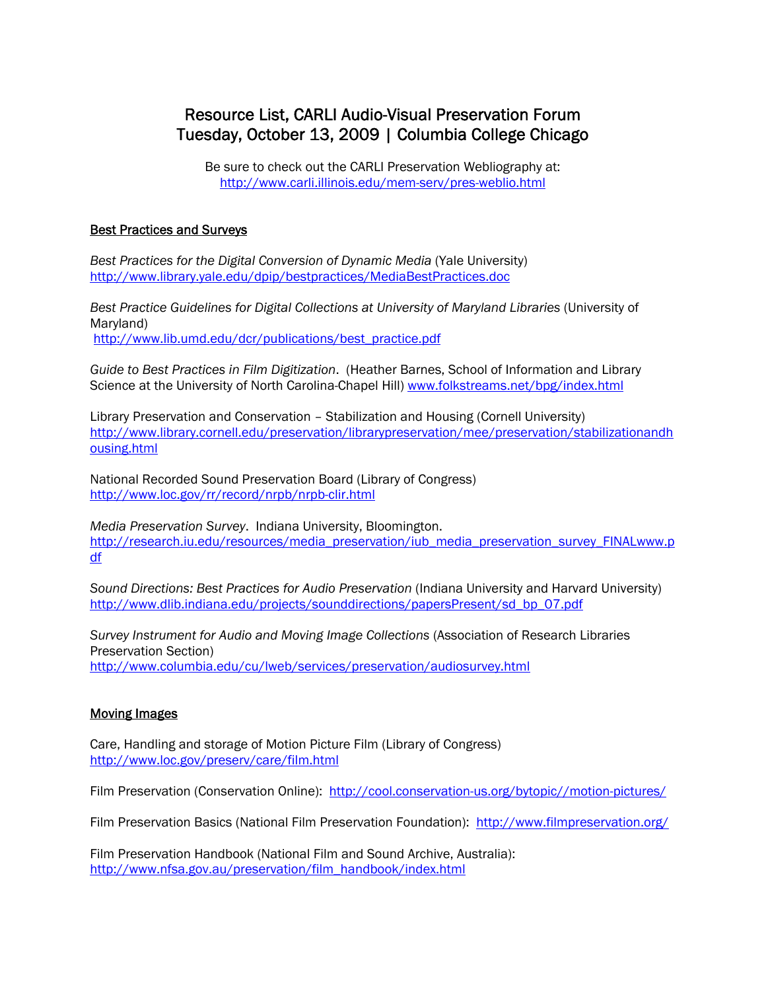# Resource List, CARLI Audio-Visual Preservation Forum Tuesday, October 13, 2009 | Columbia College Chicago

Be sure to check out the CARLI Preservation Webliography at: http://www.carli.illinois.edu/mem-serv/pres-weblio.html

#### Best Practices and Surveys

*Best Practices for the Digital Conversion of Dynamic Media* (Yale University) http://www.library.yale.edu/dpip/bestpractices/MediaBestPractices.doc

*Best Practice Guidelines for Digital Collections at University of Maryland Libraries* (University of Maryland) http://www.lib.umd.edu/dcr/publications/best\_practice.pdf

*Guide to Best Practices in Film Digitization*. (Heather Barnes, School of Information and Library Science at the University of North Carolina-Chapel Hill) **www.folkstreams.net/bpg/index.html** 

Library Preservation and Conservation – Stabilization and Housing (Cornell University) http://www.library.cornell.edu/preservation/librarypreservation/mee/preservation/stabilizationandh ousing.html

National Recorded Sound Preservation Board (Library of Congress) http://www.loc.gov/rr/record/nrpb/nrpb-clir.html

*Media Preservation Survey*. Indiana University, Bloomington. http://research.iu.edu/resources/media\_preservation/iub\_media\_preservation\_survey\_FINALwww.p df

*Sound Directions: Best Practices for Audio Preservation* (Indiana University and Harvard University) http://www.dlib.indiana.edu/projects/sounddirections/papersPresent/sd\_bp\_07.pdf

*Survey Instrument for Audio and Moving Image Collections* (Association of Research Libraries Preservation Section) http://www.columbia.edu/cu/lweb/services/preservation/audiosurvey.html

#### Moving Images

Care, Handling and storage of Motion Picture Film (Library of Congress) http://www.loc.gov/preserv/care/film.html

Film Preservation (Conservation Online): http://cool.conservation-us.org/bytopic//motion-pictures/

Film Preservation Basics (National Film Preservation Foundation): http://www.filmpreservation.org/

Film Preservation Handbook (National Film and Sound Archive, Australia): http://www.nfsa.gov.au/preservation/film\_handbook/index.html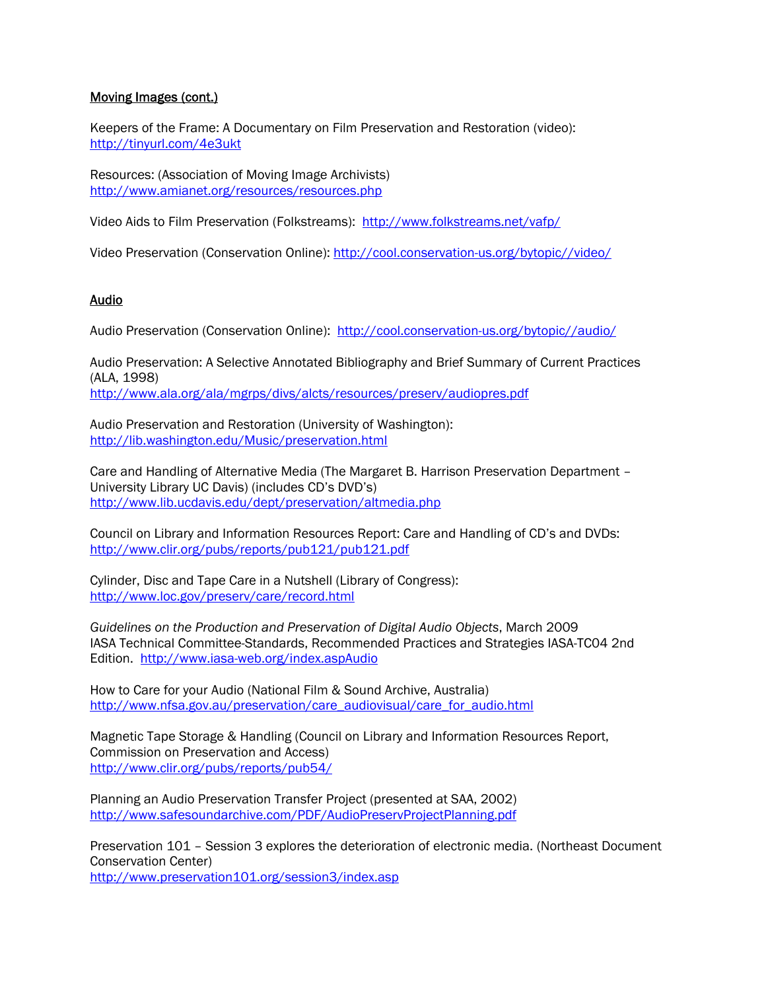## Moving Images (cont.)

Keepers of the Frame: A Documentary on Film Preservation and Restoration (video): http://tinyurl.com/4e3ukt

Resources: (Association of Moving Image Archivists) http://www.amianet.org/resources/resources.php

Video Aids to Film Preservation (Folkstreams): http://www.folkstreams.net/vafp/

Video Preservation (Conservation Online): http://cool.conservation-us.org/bytopic//video/

#### Audio

Audio Preservation (Conservation Online): http://cool.conservation-us.org/bytopic//audio/

Audio Preservation: A Selective Annotated Bibliography and Brief Summary of Current Practices (ALA, 1998) http://www.ala.org/ala/mgrps/divs/alcts/resources/preserv/audiopres.pdf

Audio Preservation and Restoration (University of Washington): http://lib.washington.edu/Music/preservation.html

Care and Handling of Alternative Media (The Margaret B. Harrison Preservation Department – University Library UC Davis) (includes CD's DVD's) http://www.lib.ucdavis.edu/dept/preservation/altmedia.php

Council on Library and Information Resources Report: Care and Handling of CD's and DVDs: http://www.clir.org/pubs/reports/pub121/pub121.pdf

Cylinder, Disc and Tape Care in a Nutshell (Library of Congress): http://www.loc.gov/preserv/care/record.html

*Guidelines on the Production and Preservation of Digital Audio Objects*, March 2009 IASA Technical Committee-Standards, Recommended Practices and Strategies IASA-TC04 2nd Edition. http://www.iasa-web.org/index.aspAudio

How to Care for your Audio (National Film & Sound Archive, Australia) http://www.nfsa.gov.au/preservation/care\_audiovisual/care\_for\_audio.html

Magnetic Tape Storage & Handling (Council on Library and Information Resources Report, Commission on Preservation and Access) http://www.clir.org/pubs/reports/pub54/

Planning an Audio Preservation Transfer Project (presented at SAA, 2002) http://www.safesoundarchive.com/PDF/AudioPreservProjectPlanning.pdf

Preservation 101 – Session 3 explores the deterioration of electronic media. (Northeast Document Conservation Center)

http://www.preservation101.org/session3/index.asp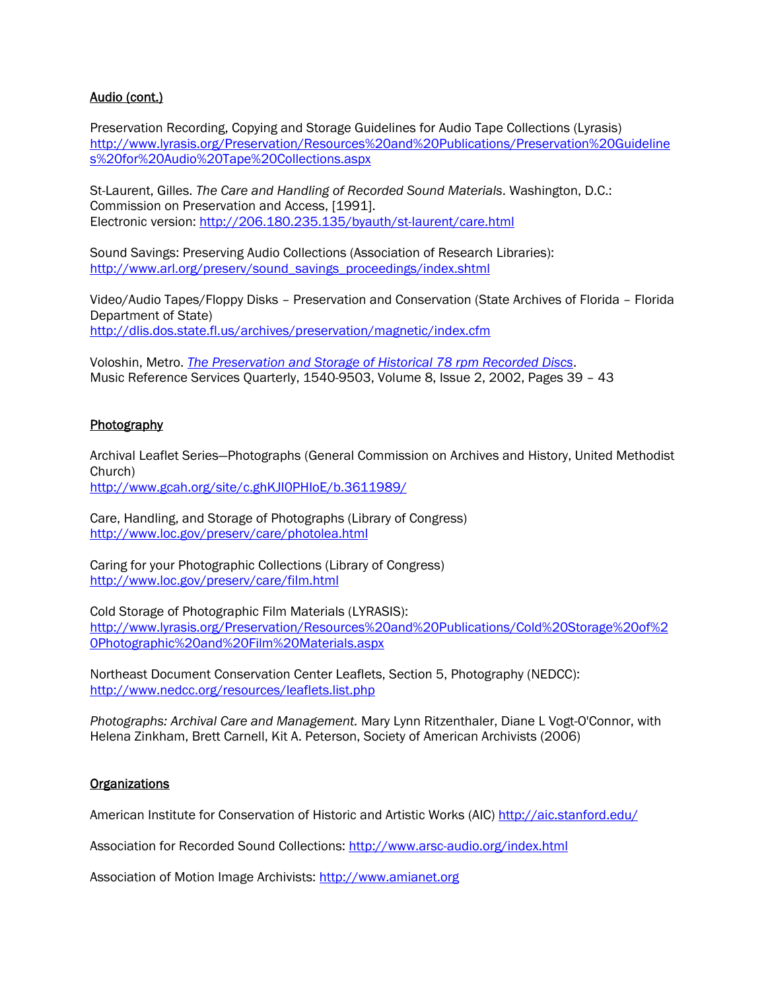## Audio (cont.)

Preservation Recording, Copying and Storage Guidelines for Audio Tape Collections (Lyrasis) http://www.lyrasis.org/Preservation/Resources%20and%20Publications/Preservation%20Guideline s%20for%20Audio%20Tape%20Collections.aspx

St-Laurent, Gilles. *The Care and Handling of Recorded Sound Materials*. Washington, D.C.: Commission on Preservation and Access, [1991]. Electronic version: http://206.180.235.135/byauth/st-laurent/care.html

Sound Savings: Preserving Audio Collections (Association of Research Libraries): http://www.arl.org/preserv/sound\_savings\_proceedings/index.shtml

Video/Audio Tapes/Floppy Disks – Preservation and Conservation (State Archives of Florida – Florida Department of State) http://dlis.dos.state.fl.us/archives/preservation/magnetic/index.cfm

Voloshin, Metro. *The Preservation and Storage of Historical 78 rpm Recorded Discs*. Music Reference Services Quarterly, 1540-9503, Volume 8, Issue 2, 2002, Pages 39 – 43

#### **Photography**

Archival Leaflet Series—Photographs (General Commission on Archives and History, United Methodist Church)

http://www.gcah.org/site/c.ghKJI0PHIoE/b.3611989/

Care, Handling, and Storage of Photographs (Library of Congress) http://www.loc.gov/preserv/care/photolea.html

Caring for your Photographic Collections (Library of Congress) http://www.loc.gov/preserv/care/film.html

Cold Storage of Photographic Film Materials (LYRASIS): http://www.lyrasis.org/Preservation/Resources%20and%20Publications/Cold%20Storage%20of%2 0Photographic%20and%20Film%20Materials.aspx

Northeast Document Conservation Center Leaflets, Section 5, Photography (NEDCC): http://www.nedcc.org/resources/leaflets.list.php

*Photographs: Archival Care and Management.* Mary Lynn Ritzenthaler, Diane L Vogt-O'Connor, with Helena Zinkham, Brett Carnell, Kit A. Peterson, Society of American Archivists (2006)

#### **Organizations**

American Institute for Conservation of Historic and Artistic Works (AIC) http://aic.stanford.edu/

Association for Recorded Sound Collections: http://www.arsc-audio.org/index.html

Association of Motion Image Archivists: http://www.amianet.org